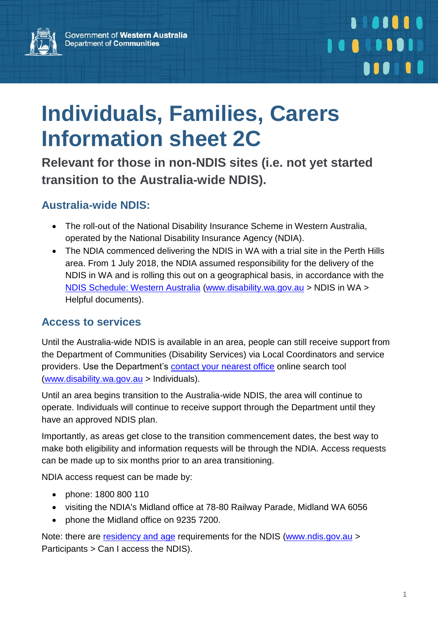

# **Individuals, Families, Carers Information sheet 2C**

**Relevant for those in non-NDIS sites (i.e. not yet started transition to the Australia-wide NDIS).**

### **Australia-wide NDIS:**

- The roll-out of the National Disability Insurance Scheme in Western Australia, operated by the National Disability Insurance Agency (NDIA).
- The NDIA commenced delivering the NDIS in WA with a trial site in the Perth Hills area. From 1 July 2018, the NDIA assumed responsibility for the delivery of the NDIS in WA and is rolling this out on a geographical basis, in accordance with the [NDIS Schedule: Western Australia](http://www.disability.wa.gov.au/wa-ndis/wa-ndis/helpful-documents/) [\(www.disability.wa.gov.au](http://www.disability.wa.gov.au/) > NDIS in WA > Helpful documents).

#### **Access to services**

Until the Australia-wide NDIS is available in an area, people can still receive support from the Department of Communities (Disability Services) via Local Coordinators and service providers. Use the Department's [contact your nearest office](http://disability.wa.gov.au/individuals-families-and-carers/for-individuals-families-and-carers/) online search tool [\(www.disability.wa.gov.au](http://www.disability.wa.gov.au/) > Individuals).

Until an area begins transition to the Australia-wide NDIS, the area will continue to operate. Individuals will continue to receive support through the Department until they have an approved NDIS plan.

Importantly, as areas get close to the transition commencement dates, the best way to make both eligibility and information requests will be through the NDIA. Access requests can be made up to six months prior to an area transitioning.

NDIA access request can be made by:

- phone: 1800 800 110
- visiting the NDIA's Midland office at 78-80 Railway Parade, Midland WA 6056
- phone the Midland office on 9235 7200.

Note: there are [residency and age](https://www.ndis.gov.au/medias/documents/hd1/ha6/8798781538334/15-Accessing-the-NDIS-27.10.16-Accessible.pdf) requirements for the NDIS [\(www.ndis.gov.au](http://www.ndis.gov.au/) > Participants > Can I access the NDIS).